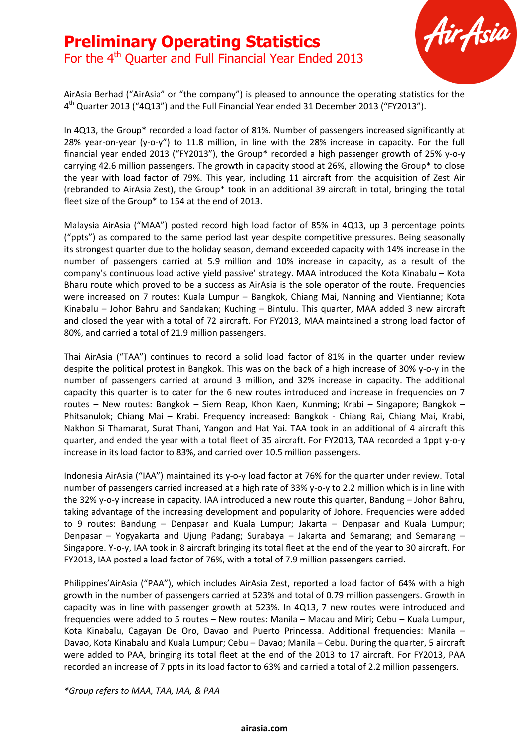# **Preliminary Operating Statistics** For the 4<sup>th</sup> Quarter and Full Financial Year Ended 2013



AirAsia Berhad ("AirAsia" or "the company") is pleased to announce the operating statistics for the 4<sup>th</sup> Quarter 2013 ("4Q13") and the Full Financial Year ended 31 December 2013 ("FY2013").

In 4Q13, the Group\* recorded a load factor of 81%. Number of passengers increased significantly at 28% year-on-year (y-o-y") to 11.8 million, in line with the 28% increase in capacity. For the full financial year ended 2013 ("FY2013"), the Group\* recorded a high passenger growth of 25% y-o-y carrying 42.6 million passengers. The growth in capacity stood at 26%, allowing the Group\* to close the year with load factor of 79%. This year, including 11 aircraft from the acquisition of Zest Air (rebranded to AirAsia Zest), the Group\* took in an additional 39 aircraft in total, bringing the total fleet size of the Group\* to 154 at the end of 2013.

Malaysia AirAsia ("MAA") posted record high load factor of 85% in 4Q13, up 3 percentage points ("ppts") as compared to the same period last year despite competitive pressures. Being seasonally its strongest quarter due to the holiday season, demand exceeded capacity with 14% increase in the number of passengers carried at 5.9 million and 10% increase in capacity, as a result of the company's continuous load active yield passive' strategy. MAA introduced the Kota Kinabalu – Kota Bharu route which proved to be a success as AirAsia is the sole operator of the route. Frequencies were increased on 7 routes: Kuala Lumpur – Bangkok, Chiang Mai, Nanning and Vientianne; Kota Kinabalu – Johor Bahru and Sandakan; Kuching – Bintulu. This quarter, MAA added 3 new aircraft and closed the year with a total of 72 aircraft. For FY2013, MAA maintained a strong load factor of 80%, and carried a total of 21.9 million passengers.

Thai AirAsia ("TAA") continues to record a solid load factor of 81% in the quarter under review despite the political protest in Bangkok. This was on the back of a high increase of 30% y-o-y in the number of passengers carried at around 3 million, and 32% increase in capacity. The additional capacity this quarter is to cater for the 6 new routes introduced and increase in frequencies on 7 routes – New routes: Bangkok – Siem Reap, Khon Kaen, Kunming; Krabi – Singapore; Bangkok – Phitsanulok; Chiang Mai – Krabi. Frequency increased: Bangkok - Chiang Rai, Chiang Mai, Krabi, Nakhon Si Thamarat, Surat Thani, Yangon and Hat Yai. TAA took in an additional of 4 aircraft this quarter, and ended the year with a total fleet of 35 aircraft. For FY2013, TAA recorded a 1ppt y-o-y increase in its load factor to 83%, and carried over 10.5 million passengers.

Indonesia AirAsia ("IAA") maintained its y-o-y load factor at 76% for the quarter under review. Total number of passengers carried increased at a high rate of 33% y-o-y to 2.2 million which is in line with the 32% y-o-y increase in capacity. IAA introduced a new route this quarter, Bandung – Johor Bahru, taking advantage of the increasing development and popularity of Johore. Frequencies were added to 9 routes: Bandung – Denpasar and Kuala Lumpur; Jakarta – Denpasar and Kuala Lumpur; Denpasar – Yogyakarta and Ujung Padang; Surabaya – Jakarta and Semarang; and Semarang – Singapore. Y-o-y, IAA took in 8 aircraft bringing its total fleet at the end of the year to 30 aircraft. For FY2013, IAA posted a load factor of 76%, with a total of 7.9 million passengers carried.

Philippines'AirAsia ("PAA"), which includes AirAsia Zest, reported a load factor of 64% with a high growth in the number of passengers carried at 523% and total of 0.79 million passengers. Growth in capacity was in line with passenger growth at 523%. In 4Q13, 7 new routes were introduced and frequencies were added to 5 routes – New routes: Manila – Macau and Miri; Cebu – Kuala Lumpur, Kota Kinabalu, Cagayan De Oro, Davao and Puerto Princessa. Additional frequencies: Manila – Davao, Kota Kinabalu and Kuala Lumpur; Cebu – Davao; Manila – Cebu. During the quarter, 5 aircraft were added to PAA, bringing its total fleet at the end of the 2013 to 17 aircraft. For FY2013, PAA recorded an increase of 7 ppts in its load factor to 63% and carried a total of 2.2 million passengers.

*\*Group refers to MAA, TAA, IAA, & PAA*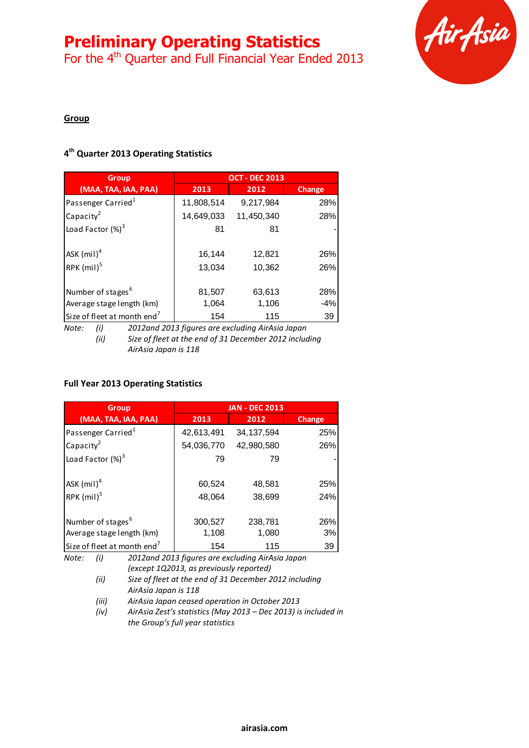For the 4<sup>th</sup> Quarter and Full Financial Year Ended 2013



### **Group**

# **4 th Quarter 2013 Operating Statistics**

| <b>Group</b>                            |            | <b>OCT - DEC 2013</b> |               |
|-----------------------------------------|------------|-----------------------|---------------|
| (MAA, TAA, IAA, PAA)                    | 2013       | 2012                  | <b>Change</b> |
| Passenger Carried <sup>1</sup>          | 11,808,514 | 9,217,984             | 28%           |
| Capacity <sup>2</sup>                   | 14,649,033 | 11,450,340            | 28%           |
| Load Factor $(\%)^3$                    | 81         | 81                    |               |
| $ASK$ (mil) <sup>4</sup>                | 16,144     | 12,821                | 26%           |
| RPK $(mil)^5$                           | 13,034     | 10,362                | 26%           |
| Number of stages <sup>6</sup>           | 81,507     | 63,613                | 28%           |
| Average stage length (km)               | 1,064      | 1,106                 | $-4%$         |
| Size of fleet at month end <sup>7</sup> | 154        | 115                   | 39            |

*Note: (i) 2012and 2013 figures are excluding AirAsia Japan (ii) Size of fleet at the end of 31 December 2012 including AirAsia Japan is 118*

#### **Full Year 2013 Operating Statistics**

| <b>Group</b>                            |            | <b>JAN - DEC 2013</b> |        |
|-----------------------------------------|------------|-----------------------|--------|
| (MAA, TAA, IAA, PAA)                    | 2013       | 2012                  | Change |
| Passenger Carried <sup>1</sup>          | 42,613,491 | 34, 137, 594          | 25%    |
| Capacity <sup>2</sup>                   | 54,036,770 | 42,980,580            | 26%    |
| Load Factor $(\%)^3$                    | 79         | 79                    |        |
|                                         |            |                       |        |
| ASK $(mil)^4$                           | 60,524     | 48,581                | 25%    |
| RPK $(mil)^5$                           | 48,064     | 38,699                | 24%    |
|                                         |            |                       |        |
| Number of stages <sup>6</sup>           | 300,527    | 238,781               | 26%    |
| Average stage length (km)               | 1,108      | 1,080                 | 3%     |
| Size of fleet at month end <sup>7</sup> | 154        | 115                   | 39     |

*Note: (i) 2012and 2013 figures are excluding AirAsia Japan (except 1Q2013, as previously reported)*

*(ii) Size of fleet at the end of 31 December 2012 including AirAsia Japan is 118*

*(iii) AirAsia Japan ceased operation in October 2013*

*(iv) AirAsia Zest's statistics (May 2013 – Dec 2013) is included in the Group's full year statistics*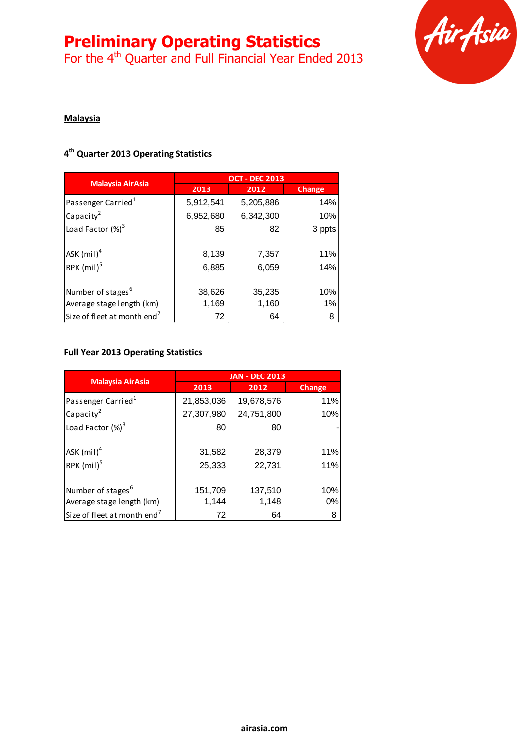For the 4<sup>th</sup> Quarter and Full Financial Year Ended 2013



# **Malaysia**

# **4 th Quarter 2013 Operating Statistics**

| <b>Malaysia AirAsia</b>                 | <b>OCT - DEC 2013</b> |           |               |
|-----------------------------------------|-----------------------|-----------|---------------|
|                                         | 2013                  | 2012      | <b>Change</b> |
| Passenger Carried <sup>1</sup>          | 5,912,541             | 5,205,886 | 14%           |
| Capacity <sup>2</sup>                   | 6,952,680             | 6,342,300 | 10%           |
| Load Factor $(\%)^3$                    | 85                    | 82        | 3 ppts        |
| ASK $(mil)^4$                           | 8,139                 | 7,357     | 11%           |
| RPK $(mil)^5$                           | 6,885                 | 6,059     | 14%           |
| Number of stages <sup>6</sup>           | 38,626                | 35,235    | 10%           |
| Average stage length (km)               | 1,169                 | 1,160     | 1%            |
| Size of fleet at month end <sup>7</sup> | 72                    | 64        | 8             |

#### **Full Year 2013 Operating Statistics**

|                                         | <b>JAN - DEC 2013</b> |            |               |
|-----------------------------------------|-----------------------|------------|---------------|
| <b>Malaysia AirAsia</b>                 | 2013                  | 2012       | <b>Change</b> |
| Passenger Carried <sup>1</sup>          | 21,853,036            | 19,678,576 | 11%           |
| Capacity <sup>2</sup>                   | 27,307,980            | 24,751,800 | 10%           |
| Load Factor $(\%)^3$                    | 80                    | 80         |               |
| ASK $(mil)^4$                           | 31,582                | 28,379     | 11%           |
| RPK $(mil)^5$                           | 25,333                | 22,731     | 11%           |
| Number of stages <sup>6</sup>           | 151,709               | 137,510    | 10%           |
| Average stage length (km)               | 1,144                 | 1,148      | 0%            |
| Size of fleet at month end <sup>7</sup> | 72                    | 64         | 8             |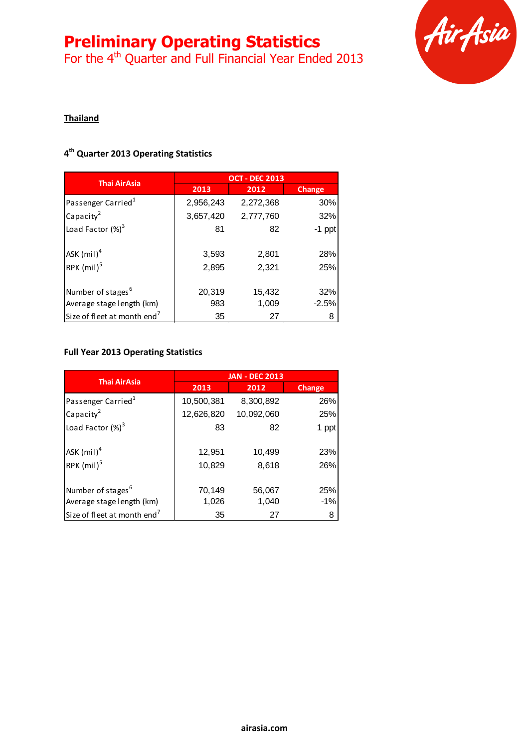For the 4<sup>th</sup> Quarter and Full Financial Year Ended 2013



# **Thailand**

# **4 th Quarter 2013 Operating Statistics**

| <b>Thai AirAsia</b>                     | <b>OCT - DEC 2013</b> |           |               |
|-----------------------------------------|-----------------------|-----------|---------------|
|                                         | 2013                  | 2012      | <b>Change</b> |
| Passenger Carried <sup>1</sup>          | 2,956,243             | 2,272,368 | 30%           |
| Capacity <sup>2</sup>                   | 3,657,420             | 2,777,760 | 32%           |
| Load Factor $(\%)^3$                    | 81                    | 82        | $-1$ ppt      |
|                                         |                       |           |               |
| ASK $(mil)^4$                           | 3,593                 | 2,801     | 28%           |
| RPK $(mil)^5$                           | 2,895                 | 2,321     | 25%           |
|                                         |                       |           |               |
| Number of stages <sup>6</sup>           | 20,319                | 15,432    | 32%           |
| Average stage length (km)               | 983                   | 1,009     | $-2.5%$       |
| Size of fleet at month end <sup>7</sup> | 35                    | 27        | 8             |

#### **Full Year 2013 Operating Statistics**

| <b>Thai AirAsia</b>                                        | <b>JAN - DEC 2013</b> |                 |              |
|------------------------------------------------------------|-----------------------|-----------------|--------------|
|                                                            | 2013                  | 2012            | Change       |
| Passenger Carried <sup>1</sup>                             | 10,500,381            | 8,300,892       | 26%          |
| Capacity <sup>2</sup>                                      | 12,626,820            | 10,092,060      | 25%          |
| Load Factor $(\%)^3$                                       | 83                    | 82              | 1 ppt        |
| ASK $(mil)^4$<br>RPK $(mil)^5$                             | 12,951<br>10,829      | 10,499<br>8,618 | 23%<br>26%   |
| Number of stages <sup>6</sup><br>Average stage length (km) | 70,149<br>1,026       | 56,067<br>1,040 | 25%<br>$-1%$ |
| Size of fleet at month end <sup>7</sup>                    | 35                    | 27              | 8            |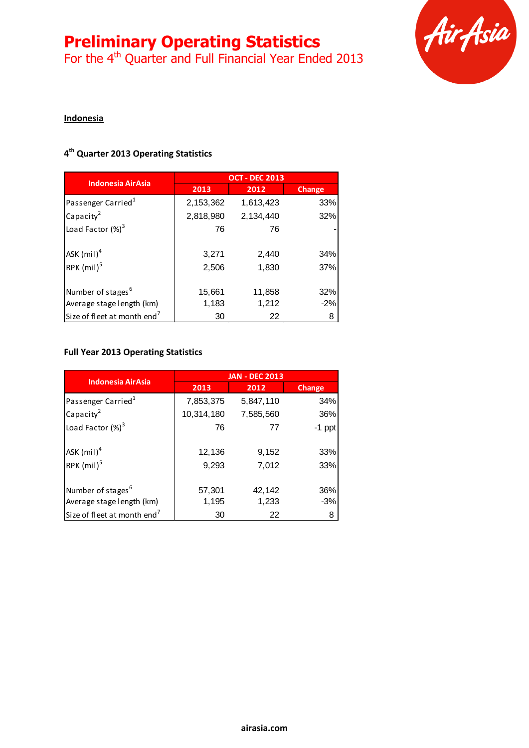For the 4<sup>th</sup> Quarter and Full Financial Year Ended 2013



# **Indonesia**

### **4 th Quarter 2013 Operating Statistics**

| <b>Indonesia AirAsia</b>                |           | <b>OCT - DEC 2013</b> |        |
|-----------------------------------------|-----------|-----------------------|--------|
|                                         | 2013      | 2012                  | Change |
| Passenger Carried <sup>1</sup>          | 2,153,362 | 1,613,423             | 33%    |
| Capacity <sup>2</sup>                   | 2,818,980 | 2,134,440             | 32%    |
| Load Factor $(\%)^3$                    | 76        | 76                    |        |
| ASK $(mil)^4$                           | 3,271     | 2,440                 | 34%    |
| RPK $(mil)^5$                           | 2,506     | 1,830                 | 37%    |
| Number of stages <sup>6</sup>           | 15,661    | 11,858                | 32%    |
| Average stage length (km)               | 1,183     | 1,212                 | $-2%$  |
| Size of fleet at month end <sup>7</sup> | 30        | 22                    | 8      |

#### **Full Year 2013 Operating Statistics**

|                                         | <b>JAN - DEC 2013</b> |                |            |
|-----------------------------------------|-----------------------|----------------|------------|
| <b>Indonesia AirAsia</b>                | 2013                  | 2012           | Change     |
| Passenger Carried <sup>1</sup>          | 7,853,375             | 5,847,110      | 34%        |
| Capacity <sup>2</sup>                   | 10,314,180            | 7,585,560      | 36%        |
| Load Factor $(\%)^3$                    | 76                    | 77             | $-1$ ppt   |
| ASK $(mil)^4$<br>RPK $(mil)^5$          | 12,136<br>9,293       | 9,152<br>7,012 | 33%<br>33% |
| Number of stages <sup>6</sup>           | 57,301                | 42,142         | 36%        |
| Average stage length (km)               | 1,195                 | 1,233          | $-3%$      |
| Size of fleet at month end <sup>7</sup> | 30                    | 22             | 8          |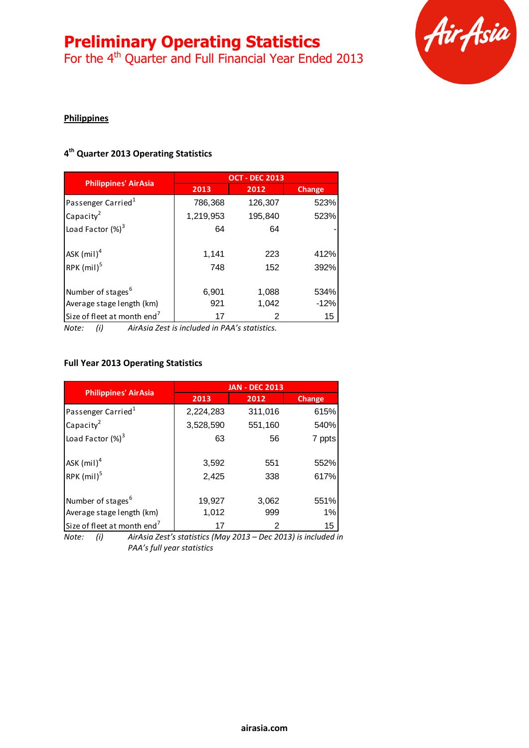For the 4<sup>th</sup> Quarter and Full Financial Year Ended 2013



### **Philippines**

# **4 th Quarter 2013 Operating Statistics**

|                                         | <b>OCT - DEC 2013</b> |         |        |
|-----------------------------------------|-----------------------|---------|--------|
| <b>Philippines' AirAsia</b>             | 2013                  | 2012    | Change |
| Passenger Carried <sup>1</sup>          | 786,368               | 126,307 | 523%   |
| Capacity <sup>2</sup>                   | 1,219,953             | 195,840 | 523%   |
| Load Factor $(\%)^3$                    | 64                    | 64      |        |
|                                         |                       |         |        |
| ASK $(mil)^4$                           | 1,141                 | 223     | 412%   |
| RPK $(mil)^5$                           | 748                   | 152     | 392%   |
|                                         |                       |         |        |
| Number of stages <sup>6</sup>           | 6,901                 | 1,088   | 534%   |
| Average stage length (km)               | 921                   | 1,042   | $-12%$ |
| Size of fleet at month end <sup>7</sup> | 17                    | 2       | 15     |

*Note: (i) AirAsia Zest is included in PAA's statistics.*

#### **Full Year 2013 Operating Statistics**

|                                           | <b>JAN - DEC 2013</b> |            |               |
|-------------------------------------------|-----------------------|------------|---------------|
| <b>Philippines' AirAsia</b>               | 2013                  | 2012       | <b>Change</b> |
| Passenger Carried <sup>1</sup>            | 2,224,283             | 311,016    | 615%          |
| Capacity <sup>2</sup>                     | 3,528,590             | 551,160    | 540%          |
| Load Factor $(\%)^3$                      | 63                    | 56         | 7 ppts        |
| $ASK$ (mil) <sup>4</sup><br>RPK $(mil)^5$ | 3,592<br>2,425        | 551<br>338 | 552%<br>617%  |
| Number of stages <sup>6</sup>             | 19,927                | 3,062      | 551%          |
| Average stage length (km)                 | 1,012                 | 999        | 1%            |
| Size of fleet at month end <sup>7</sup>   | 17                    | 2          | 15            |

*Note: (i) AirAsia Zest's statistics (May 2013 – Dec 2013) is included in PAA's full year statistics*